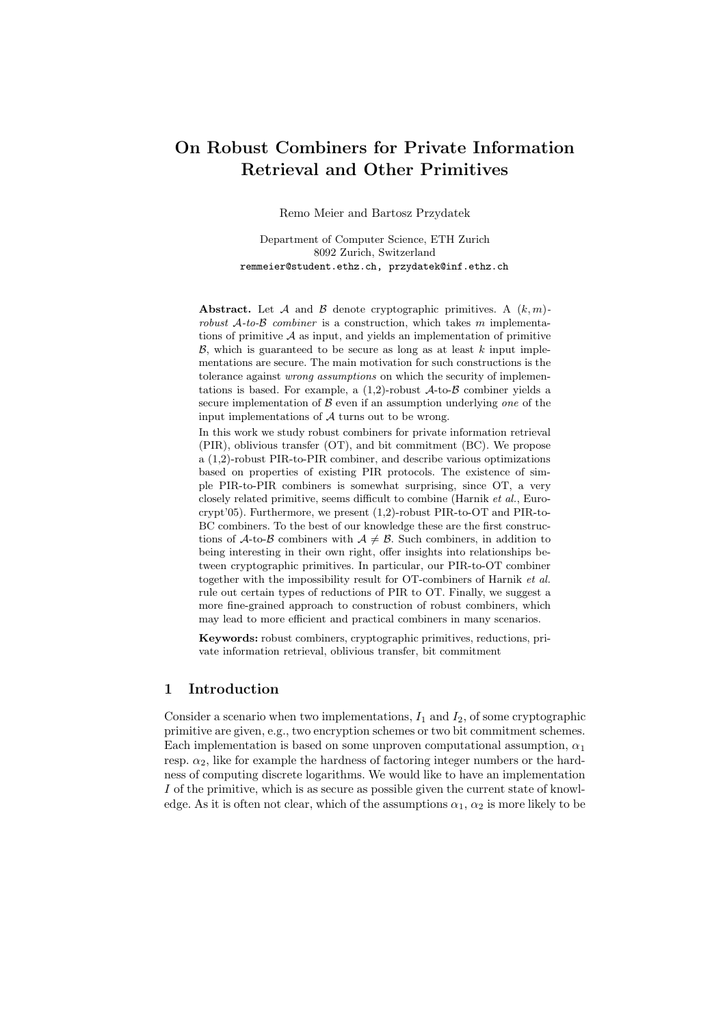# On Robust Combiners for Private Information Retrieval and Other Primitives

Remo Meier and Bartosz Przydatek

Department of Computer Science, ETH Zurich 8092 Zurich, Switzerland remmeier@student.ethz.ch, przydatek@inf.ethz.ch

Abstract. Let A and B denote cryptographic primitives. A  $(k, m)$ robust  $A$ -to- $B$  combiner is a construction, which takes m implementations of primitive  $A$  as input, and yields an implementation of primitive  $\beta$ , which is guaranteed to be secure as long as at least k input implementations are secure. The main motivation for such constructions is the tolerance against wrong assumptions on which the security of implementations is based. For example, a  $(1,2)$ -robust  $\mathcal{A}$ -to- $\mathcal{B}$  combiner yields a secure implementation of  $\beta$  even if an assumption underlying one of the input implementations of  $A$  turns out to be wrong.

In this work we study robust combiners for private information retrieval (PIR), oblivious transfer (OT), and bit commitment (BC). We propose a (1,2)-robust PIR-to-PIR combiner, and describe various optimizations based on properties of existing PIR protocols. The existence of simple PIR-to-PIR combiners is somewhat surprising, since OT, a very closely related primitive, seems difficult to combine (Harnik et al., Eurocrypt'05). Furthermore, we present (1,2)-robust PIR-to-OT and PIR-to-BC combiners. To the best of our knowledge these are the first constructions of A-to-B combiners with  $A \neq B$ . Such combiners, in addition to being interesting in their own right, offer insights into relationships between cryptographic primitives. In particular, our PIR-to-OT combiner together with the impossibility result for OT-combiners of Harnik et al. rule out certain types of reductions of PIR to OT. Finally, we suggest a more fine-grained approach to construction of robust combiners, which may lead to more efficient and practical combiners in many scenarios.

Keywords: robust combiners, cryptographic primitives, reductions, private information retrieval, oblivious transfer, bit commitment

# 1 Introduction

Consider a scenario when two implementations,  $I_1$  and  $I_2$ , of some cryptographic primitive are given, e.g., two encryption schemes or two bit commitment schemes. Each implementation is based on some unproven computational assumption,  $\alpha_1$ resp.  $\alpha_2$ , like for example the hardness of factoring integer numbers or the hardness of computing discrete logarithms. We would like to have an implementation I of the primitive, which is as secure as possible given the current state of knowledge. As it is often not clear, which of the assumptions  $\alpha_1, \alpha_2$  is more likely to be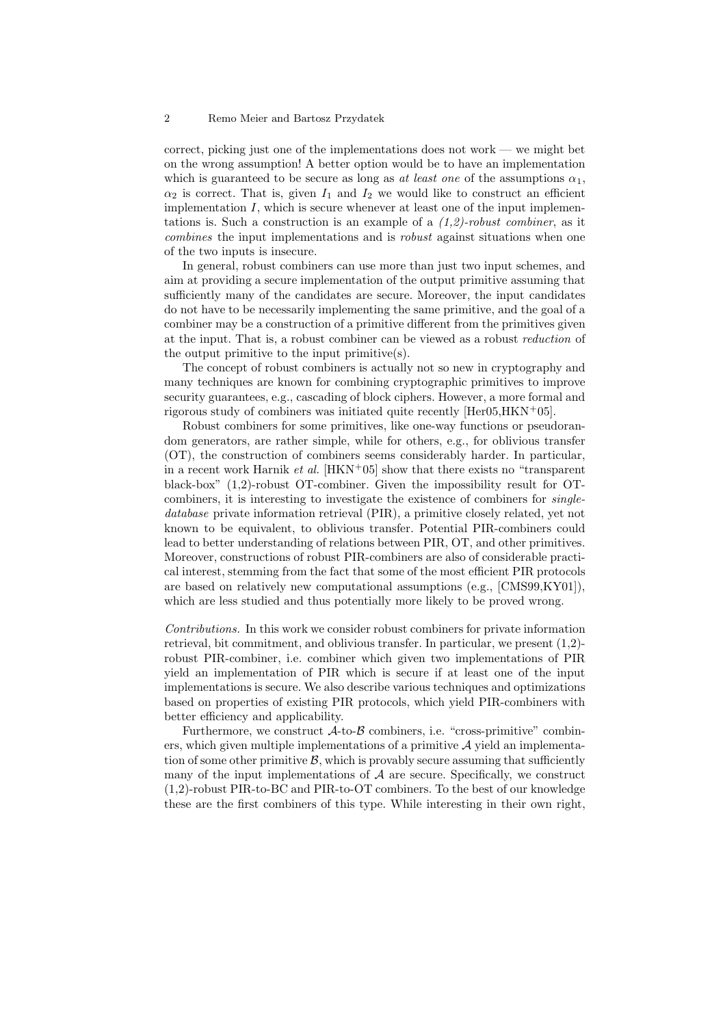correct, picking just one of the implementations does not work — we might bet on the wrong assumption! A better option would be to have an implementation which is guaranteed to be secure as long as at least one of the assumptions  $\alpha_1$ ,  $\alpha_2$  is correct. That is, given  $I_1$  and  $I_2$  we would like to construct an efficient implementation  $I$ , which is secure whenever at least one of the input implementations is. Such a construction is an example of a  $(1,2)$ -robust combiner, as it combines the input implementations and is robust against situations when one of the two inputs is insecure.

In general, robust combiners can use more than just two input schemes, and aim at providing a secure implementation of the output primitive assuming that sufficiently many of the candidates are secure. Moreover, the input candidates do not have to be necessarily implementing the same primitive, and the goal of a combiner may be a construction of a primitive different from the primitives given at the input. That is, a robust combiner can be viewed as a robust reduction of the output primitive to the input primitive(s).

The concept of robust combiners is actually not so new in cryptography and many techniques are known for combining cryptographic primitives to improve security guarantees, e.g., cascading of block ciphers. However, a more formal and rigorous study of combiners was initiated quite recently [Her05,HKN<sup>+</sup>05].

Robust combiners for some primitives, like one-way functions or pseudorandom generators, are rather simple, while for others, e.g., for oblivious transfer (OT), the construction of combiners seems considerably harder. In particular, in a recent work Harnik et al.  $[HKN+05]$  show that there exists no "transparent" black-box" (1,2)-robust OT-combiner. Given the impossibility result for OTcombiners, it is interesting to investigate the existence of combiners for singledatabase private information retrieval (PIR), a primitive closely related, yet not known to be equivalent, to oblivious transfer. Potential PIR-combiners could lead to better understanding of relations between PIR, OT, and other primitives. Moreover, constructions of robust PIR-combiners are also of considerable practical interest, stemming from the fact that some of the most efficient PIR protocols are based on relatively new computational assumptions (e.g., [CMS99,KY01]), which are less studied and thus potentially more likely to be proved wrong.

Contributions. In this work we consider robust combiners for private information retrieval, bit commitment, and oblivious transfer. In particular, we present (1,2) robust PIR-combiner, i.e. combiner which given two implementations of PIR yield an implementation of PIR which is secure if at least one of the input implementations is secure. We also describe various techniques and optimizations based on properties of existing PIR protocols, which yield PIR-combiners with better efficiency and applicability.

Furthermore, we construct  $\mathcal{A}$ -to- $\mathcal{B}$  combiners, i.e. "cross-primitive" combiners, which given multiple implementations of a primitive  $A$  yield an implementation of some other primitive  $\beta$ , which is provably secure assuming that sufficiently many of the input implementations of  $A$  are secure. Specifically, we construct (1,2)-robust PIR-to-BC and PIR-to-OT combiners. To the best of our knowledge these are the first combiners of this type. While interesting in their own right,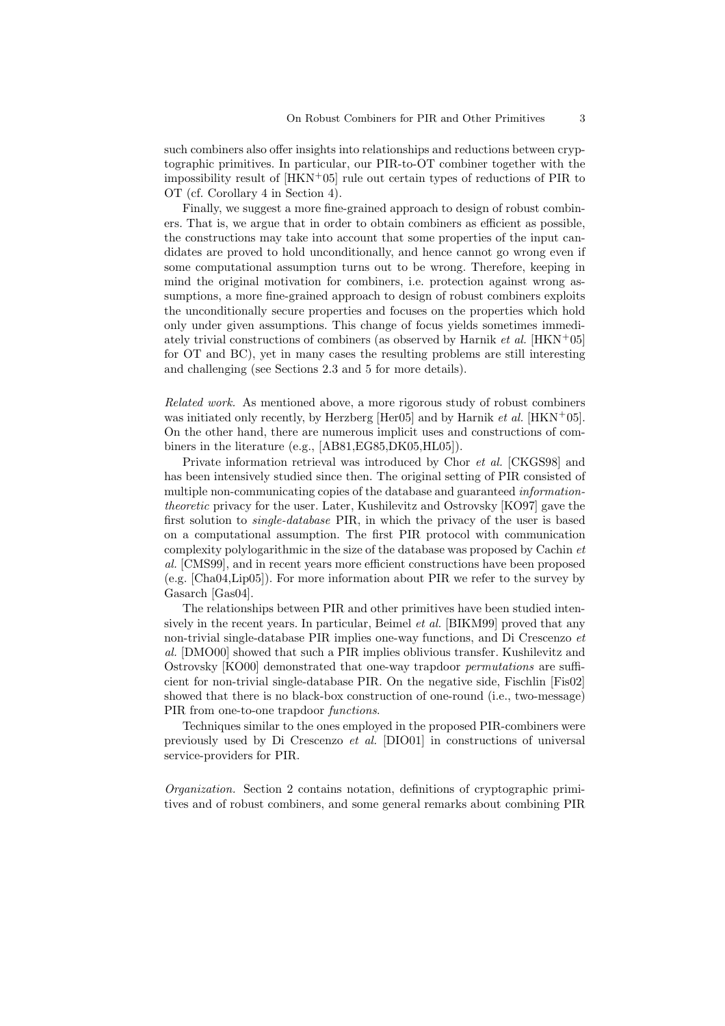such combiners also offer insights into relationships and reductions between cryptographic primitives. In particular, our PIR-to-OT combiner together with the impossibility result of  $[HKN^+05]$  rule out certain types of reductions of PIR to OT (cf. Corollary 4 in Section 4).

Finally, we suggest a more fine-grained approach to design of robust combiners. That is, we argue that in order to obtain combiners as efficient as possible, the constructions may take into account that some properties of the input candidates are proved to hold unconditionally, and hence cannot go wrong even if some computational assumption turns out to be wrong. Therefore, keeping in mind the original motivation for combiners, i.e. protection against wrong assumptions, a more fine-grained approach to design of robust combiners exploits the unconditionally secure properties and focuses on the properties which hold only under given assumptions. This change of focus yields sometimes immediately trivial constructions of combiners (as observed by Harnik et al. [HKN+05] for OT and BC), yet in many cases the resulting problems are still interesting and challenging (see Sections 2.3 and 5 for more details).

Related work. As mentioned above, a more rigorous study of robust combiners was initiated only recently, by Herzberg [Her05] and by Harnik *et al.* [HKN<sup>+</sup>05]. On the other hand, there are numerous implicit uses and constructions of combiners in the literature (e.g., [AB81,EG85,DK05,HL05]).

Private information retrieval was introduced by Chor et al. [CKGS98] and has been intensively studied since then. The original setting of PIR consisted of multiple non-communicating copies of the database and guaranteed *information*theoretic privacy for the user. Later, Kushilevitz and Ostrovsky [KO97] gave the first solution to single-database PIR, in which the privacy of the user is based on a computational assumption. The first PIR protocol with communication complexity polylogarithmic in the size of the database was proposed by Cachin et al. [CMS99], and in recent years more efficient constructions have been proposed (e.g. [Cha04,Lip05]). For more information about PIR we refer to the survey by Gasarch [Gas04].

The relationships between PIR and other primitives have been studied intensively in the recent years. In particular, Beimel *et al.* [BIKM99] proved that any non-trivial single-database PIR implies one-way functions, and Di Crescenzo et al. [DMO00] showed that such a PIR implies oblivious transfer. Kushilevitz and Ostrovsky [KO00] demonstrated that one-way trapdoor permutations are sufficient for non-trivial single-database PIR. On the negative side, Fischlin [Fis02] showed that there is no black-box construction of one-round (i.e., two-message) PIR from one-to-one trapdoor *functions*.

Techniques similar to the ones employed in the proposed PIR-combiners were previously used by Di Crescenzo et al. [DIO01] in constructions of universal service-providers for PIR.

Organization. Section 2 contains notation, definitions of cryptographic primitives and of robust combiners, and some general remarks about combining PIR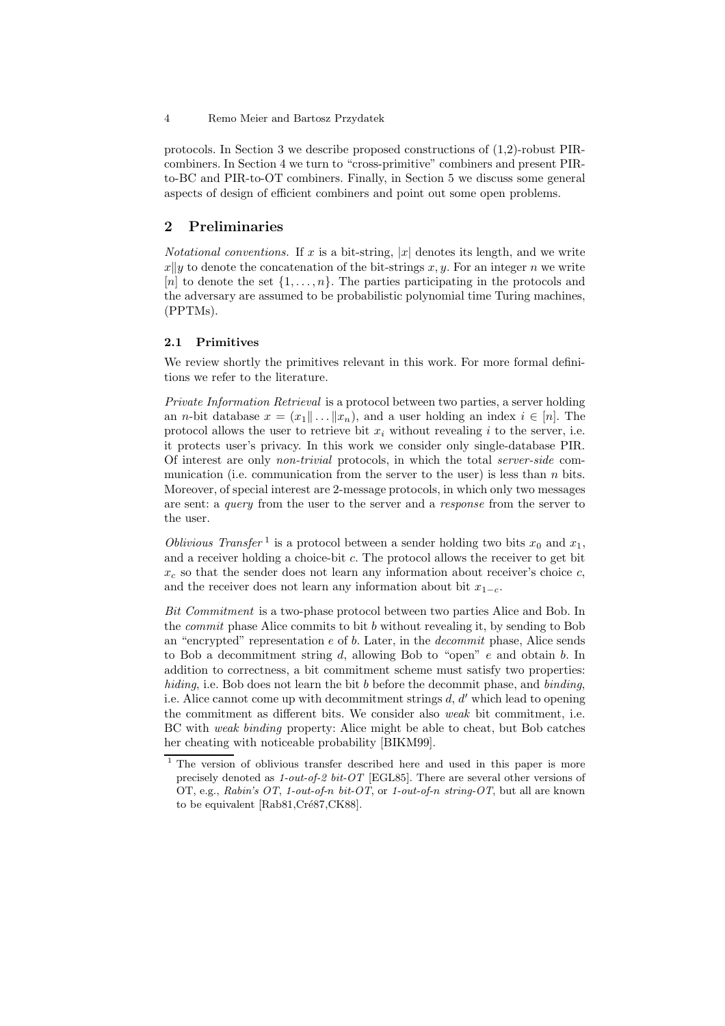protocols. In Section 3 we describe proposed constructions of (1,2)-robust PIRcombiners. In Section 4 we turn to "cross-primitive" combiners and present PIRto-BC and PIR-to-OT combiners. Finally, in Section 5 we discuss some general aspects of design of efficient combiners and point out some open problems.

# 2 Preliminaries

*Notational conventions.* If x is a bit-string,  $|x|$  denotes its length, and we write  $x\|y$  to denote the concatenation of the bit-strings x, y. For an integer n we write [n] to denote the set  $\{1, \ldots, n\}$ . The parties participating in the protocols and the adversary are assumed to be probabilistic polynomial time Turing machines, (PPTMs).

#### 2.1 Primitives

We review shortly the primitives relevant in this work. For more formal definitions we refer to the literature.

Private Information Retrieval is a protocol between two parties, a server holding an *n*-bit database  $x = (x_1 \| ... \| x_n)$ , and a user holding an index  $i \in [n]$ . The protocol allows the user to retrieve bit  $x_i$  without revealing i to the server, i.e. it protects user's privacy. In this work we consider only single-database PIR. Of interest are only non-trivial protocols, in which the total server-side communication (i.e. communication from the server to the user) is less than  $n$  bits. Moreover, of special interest are 2-message protocols, in which only two messages are sent: a query from the user to the server and a response from the server to the user.

Oblivious Transfer<sup>1</sup> is a protocol between a sender holding two bits  $x_0$  and  $x_1$ , and a receiver holding a choice-bit c. The protocol allows the receiver to get bit  $x_c$  so that the sender does not learn any information about receiver's choice c, and the receiver does not learn any information about bit  $x_{1-c}$ .

Bit Commitment is a two-phase protocol between two parties Alice and Bob. In the commit phase Alice commits to bit b without revealing it, by sending to Bob an "encrypted" representation  $e$  of  $b$ . Later, in the *decommit* phase, Alice sends to Bob a decommitment string  $d$ , allowing Bob to "open"  $e$  and obtain  $b$ . In addition to correctness, a bit commitment scheme must satisfy two properties: hiding, i.e. Bob does not learn the bit b before the decommit phase, and binding, i.e. Alice cannot come up with decommitment strings  $d, d'$  which lead to opening the commitment as different bits. We consider also weak bit commitment, i.e. BC with weak binding property: Alice might be able to cheat, but Bob catches her cheating with noticeable probability [BIKM99].

<sup>4</sup> Remo Meier and Bartosz Przydatek

<sup>&</sup>lt;sup>1</sup> The version of oblivious transfer described here and used in this paper is more precisely denoted as 1-out-of-2 bit-OT [EGL85]. There are several other versions of OT, e.g., Rabin's OT, 1-out-of-n bit-OT, or 1-out-of-n string-OT, but all are known to be equivalent [Rab81,Cré87,CK88].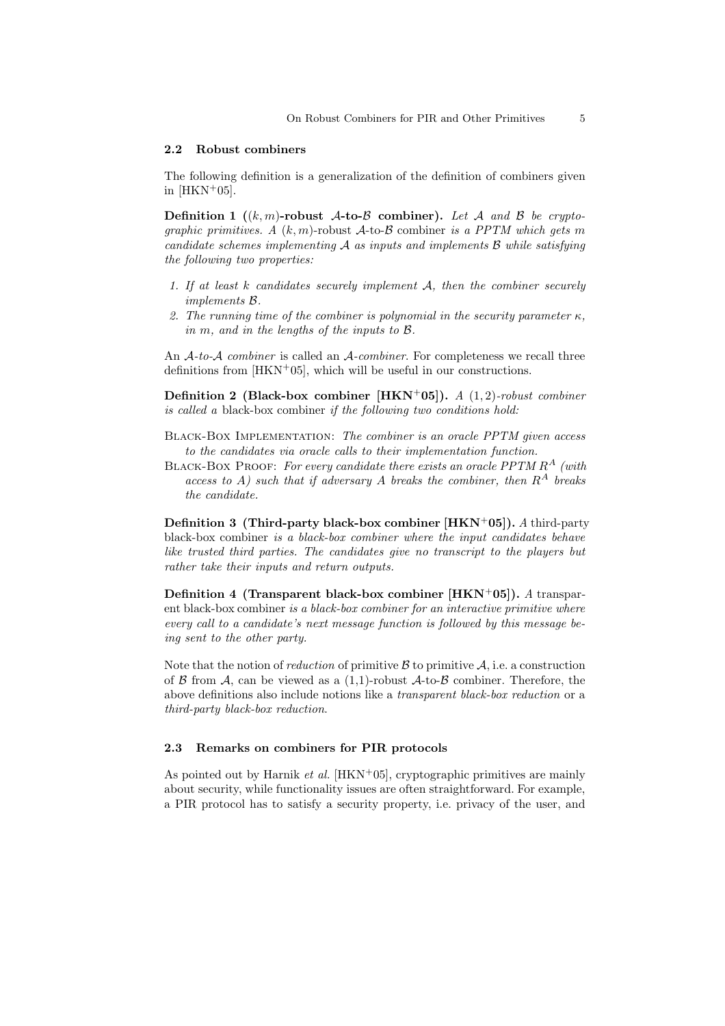#### 2.2 Robust combiners

The following definition is a generalization of the definition of combiners given in  $[HKN+05]$ .

**Definition 1** ((k, m)-robust A-to-B combiner). Let A and B be cryptographic primitives. A  $(k, m)$ -robust A-to-B combiner is a PPTM which gets m candidate schemes implementing  $\mathcal A$  as inputs and implements  $\mathcal B$  while satisfying the following two properties:

- 1. If at least  $k$  candidates securely implement  $A$ , then the combiner securely implements B.
- 2. The running time of the combiner is polynomial in the security parameter  $\kappa$ , in m, and in the lengths of the inputs to B.

An A-to-A combiner is called an A-combiner. For completeness we recall three definitions from  $[HKN+05]$ , which will be useful in our constructions.

Definition 2 (Black-box combiner [HKN+05]). A  $(1,2)$ -robust combiner is called a black-box combiner if the following two conditions hold:

Black-Box Implementation: The combiner is an oracle PPTM given access to the candidates via oracle calls to their implementation function.

BLACK-BOX PROOF: For every candidate there exists an oracle PPTM  $R^A$  (with access to A) such that if adversary A breaks the combiner, then  $R^A$  breaks the candidate.

**Definition 3 (Third-party black-box combiner [HKN<sup>+</sup>05]).** A third-party black-box combiner is a black-box combiner where the input candidates behave like trusted third parties. The candidates give no transcript to the players but rather take their inputs and return outputs.

Definition 4 (Transparent black-box combiner  $[HKN+05]$ ). A transparent black-box combiner is a black-box combiner for an interactive primitive where every call to a candidate's next message function is followed by this message being sent to the other party.

Note that the notion of *reduction* of primitive  $\beta$  to primitive  $\mathcal{A}$ , i.e. a construction of  $\beta$  from A, can be viewed as a  $(1,1)$ -robust A-to- $\beta$  combiner. Therefore, the above definitions also include notions like a transparent black-box reduction or a third-party black-box reduction.

#### 2.3 Remarks on combiners for PIR protocols

As pointed out by Harnik *et al.* [HKN<sup>+</sup>05], cryptographic primitives are mainly about security, while functionality issues are often straightforward. For example, a PIR protocol has to satisfy a security property, i.e. privacy of the user, and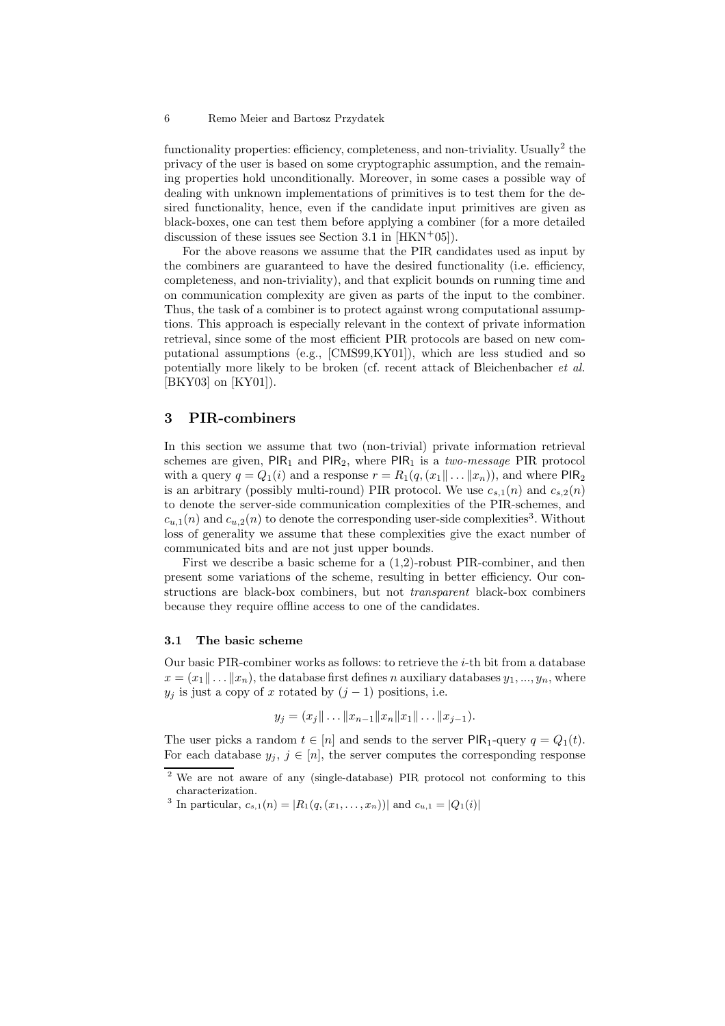functionality properties: efficiency, completeness, and non-triviality. Usually<sup>2</sup> the privacy of the user is based on some cryptographic assumption, and the remaining properties hold unconditionally. Moreover, in some cases a possible way of dealing with unknown implementations of primitives is to test them for the desired functionality, hence, even if the candidate input primitives are given as black-boxes, one can test them before applying a combiner (for a more detailed discussion of these issues see Section 3.1 in  $[HKN+05]$ .

For the above reasons we assume that the PIR candidates used as input by the combiners are guaranteed to have the desired functionality (i.e. efficiency, completeness, and non-triviality), and that explicit bounds on running time and on communication complexity are given as parts of the input to the combiner. Thus, the task of a combiner is to protect against wrong computational assumptions. This approach is especially relevant in the context of private information retrieval, since some of the most efficient PIR protocols are based on new computational assumptions (e.g., [CMS99,KY01]), which are less studied and so potentially more likely to be broken (cf. recent attack of Bleichenbacher et al. [BKY03] on [KY01]).

# 3 PIR-combiners

In this section we assume that two (non-trivial) private information retrieval schemes are given,  $PIR_1$  and  $PIR_2$ , where  $PIR_1$  is a two-message PIR protocol with a query  $q = Q_1(i)$  and a response  $r = R_1(q, (x_1 \| \dots \| x_n))$ , and where  $PIR_2$ is an arbitrary (possibly multi-round) PIR protocol. We use  $c_{s,1}(n)$  and  $c_{s,2}(n)$ to denote the server-side communication complexities of the PIR-schemes, and  $c_{u,1}(n)$  and  $c_{u,2}(n)$  to denote the corresponding user-side complexities<sup>3</sup>. Without loss of generality we assume that these complexities give the exact number of communicated bits and are not just upper bounds.

First we describe a basic scheme for a (1,2)-robust PIR-combiner, and then present some variations of the scheme, resulting in better efficiency. Our constructions are black-box combiners, but not transparent black-box combiners because they require offline access to one of the candidates.

### 3.1 The basic scheme

Our basic PIR-combiner works as follows: to retrieve the i-th bit from a database  $x = (x_1 \| \dots \| x_n)$ , the database first defines n auxiliary databases  $y_1, ..., y_n$ , where  $y_j$  is just a copy of x rotated by  $(j-1)$  positions, i.e.

$$
y_j = (x_j \| \dots \| x_{n-1} \| x_n \| x_1 \| \dots \| x_{j-1}).
$$

The user picks a random  $t \in [n]$  and sends to the server PIR<sub>1</sub>-query  $q = Q_1(t)$ . For each database  $y_i, j \in [n]$ , the server computes the corresponding response

<sup>2</sup> We are not aware of any (single-database) PIR protocol not conforming to this characterization.

<sup>&</sup>lt;sup>3</sup> In particular,  $c_{s,1}(n) = |R_1(q, (x_1, \ldots, x_n))|$  and  $c_{u,1} = |Q_1(i)|$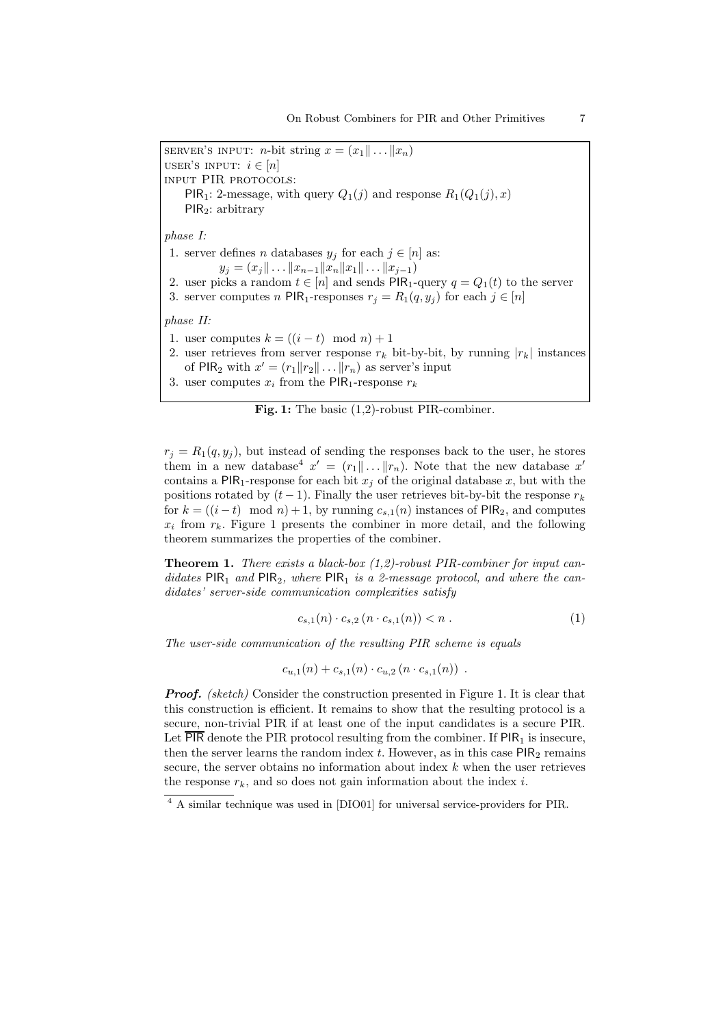SERVER'S INPUT: *n*-bit string  $x = (x_1 \| \dots \| x_n)$ USER'S INPUT:  $i \in [n]$ input PIR protocols: PIR<sub>1</sub>: 2-message, with query  $Q_1(j)$  and response  $R_1(Q_1(j), x)$ PIR<sub>2</sub>: arbitrary phase I: 1. server defines *n* databases  $y_j$  for each  $j \in [n]$  as:  $y_j = (x_j \| \dots \| x_{n-1} \| x_n \| x_1 \| \dots \| x_{j-1})$ 2. user picks a random  $t \in [n]$  and sends PIR<sub>1</sub>-query  $q = Q_1(t)$  to the server 3. server computes n PIR<sub>1</sub>-responses  $r_j = R_1(q, y_j)$  for each  $j \in [n]$ phase II: 1. user computes  $k = ((i - t) \mod n) + 1$ 2. user retrieves from server response  $r_k$  bit-by-bit, by running  $|r_k|$  instances of PIR<sub>2</sub> with  $x' = (r_1 || r_2 || \dots || r_n)$  as server's input 3. user computes  $x_i$  from the PIR<sub>1</sub>-response  $r_k$ 

Fig. 1: The basic (1,2)-robust PIR-combiner.

 $r_j = R_1(q, y_j)$ , but instead of sending the responses back to the user, he stores them in a new database<sup>4</sup>  $x' = (r_1 || \dots || r_n)$ . Note that the new database  $x'$ contains a PIR<sub>1</sub>-response for each bit  $x_j$  of the original database x, but with the positions rotated by  $(t-1)$ . Finally the user retrieves bit-by-bit the response  $r_k$ for  $k = ((i - t) \mod n) + 1$ , by running  $c_{s,1}(n)$  instances of PIR<sub>2</sub>, and computes  $x_i$  from  $r_k$ . Figure 1 presents the combiner in more detail, and the following theorem summarizes the properties of the combiner.

**Theorem 1.** There exists a black-box  $(1,2)$ -robust PIR-combiner for input candidates  $PIR_1$  and  $PIR_2$ , where  $PIR_1$  is a 2-message protocol, and where the candidates' server-side communication complexities satisfy

$$
c_{s,1}(n) \cdot c_{s,2}(n \cdot c_{s,1}(n)) < n \tag{1}
$$

The user-side communication of the resulting PIR scheme is equals

$$
c_{u,1}(n) + c_{s,1}(n) \cdot c_{u,2}(n \cdot c_{s,1}(n)) \enspace .
$$

**Proof.** (sketch) Consider the construction presented in Figure 1. It is clear that this construction is efficient. It remains to show that the resulting protocol is a secure, non-trivial PIR if at least one of the input candidates is a secure PIR. Let  $\overline{PIR}$  denote the PIR protocol resulting from the combiner. If  $PIR<sub>1</sub>$  is insecure, then the server learns the random index  $t$ . However, as in this case  $PIR<sub>2</sub>$  remains secure, the server obtains no information about index  $k$  when the user retrieves the response  $r_k$ , and so does not gain information about the index i.

<sup>4</sup> A similar technique was used in [DIO01] for universal service-providers for PIR.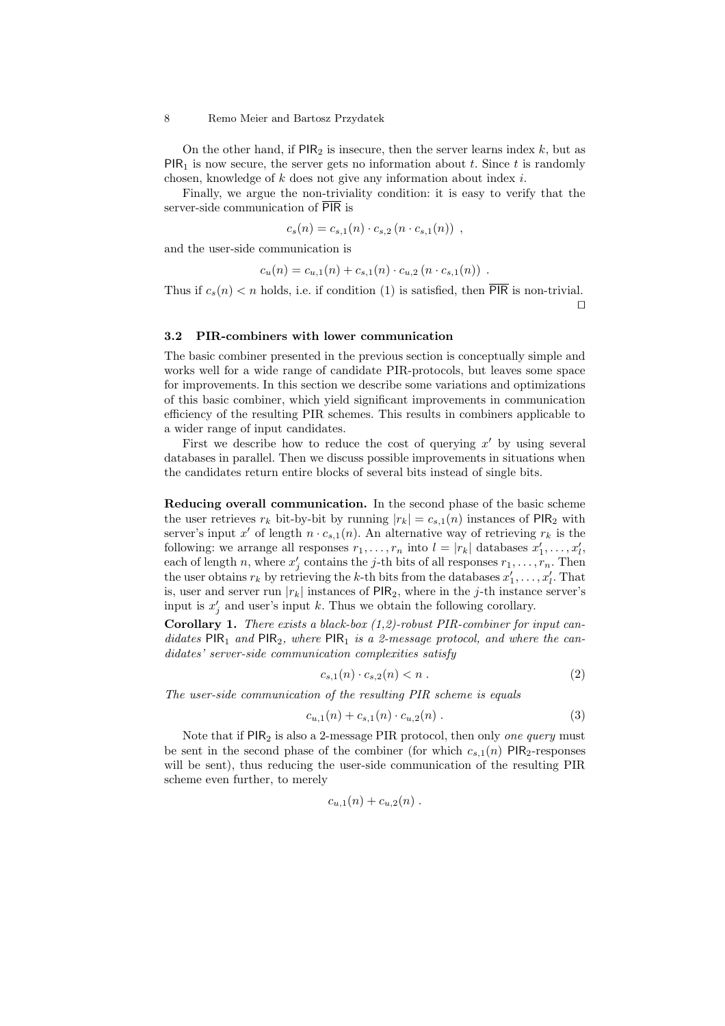On the other hand, if  $PIR_2$  is insecure, then the server learns index k, but as  $PIR<sub>1</sub>$  is now secure, the server gets no information about t. Since t is randomly chosen, knowledge of  $k$  does not give any information about index  $i$ .

Finally, we argue the non-triviality condition: it is easy to verify that the server-side communication of PIR is

$$
c_s(n) = c_{s,1}(n) \cdot c_{s,2}(n \cdot c_{s,1}(n)) ,
$$

and the user-side communication is

$$
c_u(n) = c_{u,1}(n) + c_{s,1}(n) \cdot c_{u,2}(n \cdot c_{s,1}(n))
$$
.

Thus if  $c_s(n) < n$  holds, i.e. if condition (1) is satisfied, then  $\overline{PIR}$  is non-trivial.  $\Box$ 

#### 3.2 PIR-combiners with lower communication

The basic combiner presented in the previous section is conceptually simple and works well for a wide range of candidate PIR-protocols, but leaves some space for improvements. In this section we describe some variations and optimizations of this basic combiner, which yield significant improvements in communication efficiency of the resulting PIR schemes. This results in combiners applicable to a wider range of input candidates.

First we describe how to reduce the cost of querying  $x'$  by using several databases in parallel. Then we discuss possible improvements in situations when the candidates return entire blocks of several bits instead of single bits.

Reducing overall communication. In the second phase of the basic scheme the user retrieves  $r_k$  bit-by-bit by running  $|r_k| = c_{s,1}(n)$  instances of PIR<sub>2</sub> with server's input x' of length  $n \cdot c_{s,1}(n)$ . An alternative way of retrieving  $r_k$  is the following: we arrange all responses  $r_1, \ldots, r_n$  into  $l = |r_k|$  databases  $x'_1, \ldots, x'_l$ , each of length n, where  $x'_j$  contains the j-th bits of all responses  $r_1, \ldots, r_n$ . Then the user obtains  $r_k$  by retrieving the k-th bits from the databases  $x'_1, \ldots, x'_l$ . That is, user and server run  $|r_k|$  instances of PIR<sub>2</sub>, where in the j-th instance server's input is  $x'_j$  and user's input k. Thus we obtain the following corollary.

**Corollary 1.** There exists a black-box  $(1,2)$ -robust PIR-combiner for input candidates  $PIR_1$  and  $PIR_2$ , where  $PIR_1$  is a 2-message protocol, and where the candidates' server-side communication complexities satisfy

$$
c_{s,1}(n) \cdot c_{s,2}(n) < n \tag{2}
$$

The user-side communication of the resulting PIR scheme is equals

$$
c_{u,1}(n) + c_{s,1}(n) \cdot c_{u,2}(n) \tag{3}
$$

Note that if  $PIR_2$  is also a 2-message  $PIR$  protocol, then only one query must be sent in the second phase of the combiner (for which  $c_{s,1}(n)$  PIR<sub>2</sub>-responses will be sent), thus reducing the user-side communication of the resulting PIR scheme even further, to merely

$$
c_{u,1}(n) + c_{u,2}(n) \ .
$$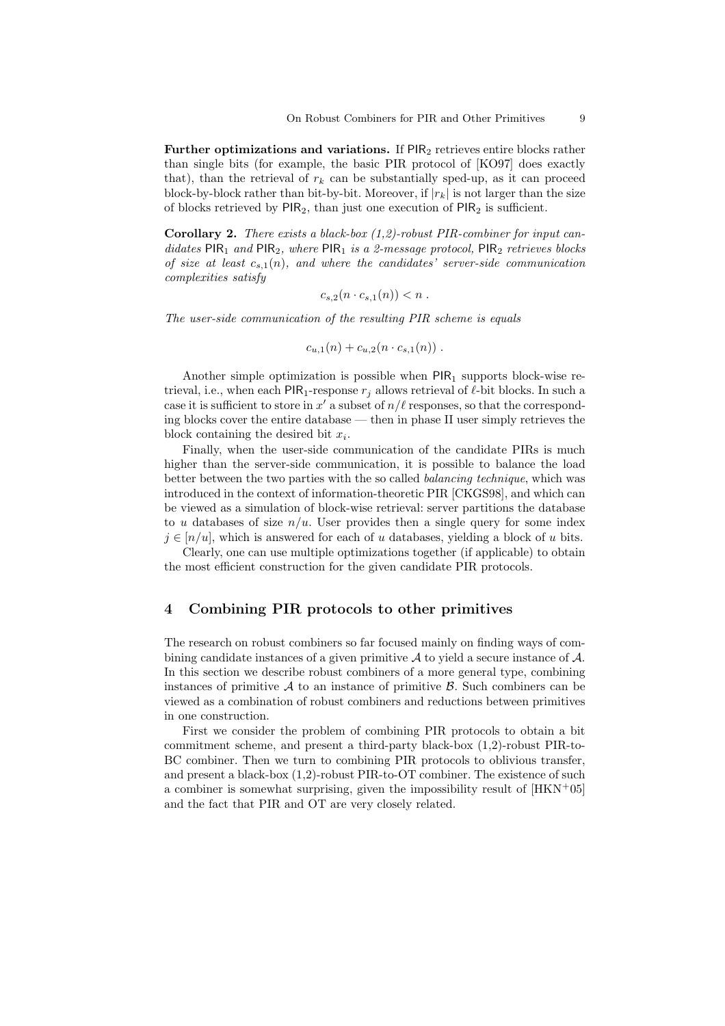Further optimizations and variations. If  $PIR<sub>2</sub>$  retrieves entire blocks rather than single bits (for example, the basic PIR protocol of [KO97] does exactly that), than the retrieval of  $r_k$  can be substantially sped-up, as it can proceed block-by-block rather than bit-by-bit. Moreover, if  $|r_k|$  is not larger than the size of blocks retrieved by  $PIR_2$ , than just one execution of  $PIR_2$  is sufficient.

**Corollary 2.** There exists a black-box  $(1,2)$ -robust PIR-combiner for input candidates PIR<sub>1</sub> and PIR<sub>2</sub>, where PIR<sub>1</sub> is a 2-message protocol, PIR<sub>2</sub> retrieves blocks of size at least  $c_{s,1}(n)$ , and where the candidates' server-side communication complexities satisfy

$$
c_{s,2}(n \cdot c_{s,1}(n)) < n.
$$

The user-side communication of the resulting PIR scheme is equals

$$
c_{u,1}(n) + c_{u,2}(n \cdot c_{s,1}(n)) \ .
$$

Another simple optimization is possible when  $PIR_1$  supports block-wise retrieval, i.e., when each  $PIR_1$ -response  $r_i$  allows retrieval of  $\ell$ -bit blocks. In such a case it is sufficient to store in x' a subset of  $n/\ell$  responses, so that the corresponding blocks cover the entire database — then in phase II user simply retrieves the block containing the desired bit  $x_i$ .

Finally, when the user-side communication of the candidate PIRs is much higher than the server-side communication, it is possible to balance the load better between the two parties with the so called balancing technique, which was introduced in the context of information-theoretic PIR [CKGS98], and which can be viewed as a simulation of block-wise retrieval: server partitions the database to u databases of size  $n/u$ . User provides then a single query for some index  $j \in [n/u]$ , which is answered for each of u databases, yielding a block of u bits.

Clearly, one can use multiple optimizations together (if applicable) to obtain the most efficient construction for the given candidate PIR protocols.

### 4 Combining PIR protocols to other primitives

The research on robust combiners so far focused mainly on finding ways of combining candidate instances of a given primitive  $A$  to yield a secure instance of  $A$ . In this section we describe robust combiners of a more general type, combining instances of primitive  $A$  to an instance of primitive  $B$ . Such combiners can be viewed as a combination of robust combiners and reductions between primitives in one construction.

First we consider the problem of combining PIR protocols to obtain a bit commitment scheme, and present a third-party black-box (1,2)-robust PIR-to-BC combiner. Then we turn to combining PIR protocols to oblivious transfer, and present a black-box (1,2)-robust PIR-to-OT combiner. The existence of such a combiner is somewhat surprising, given the impossibility result of  $[HKN<sup>+</sup>05]$ and the fact that PIR and OT are very closely related.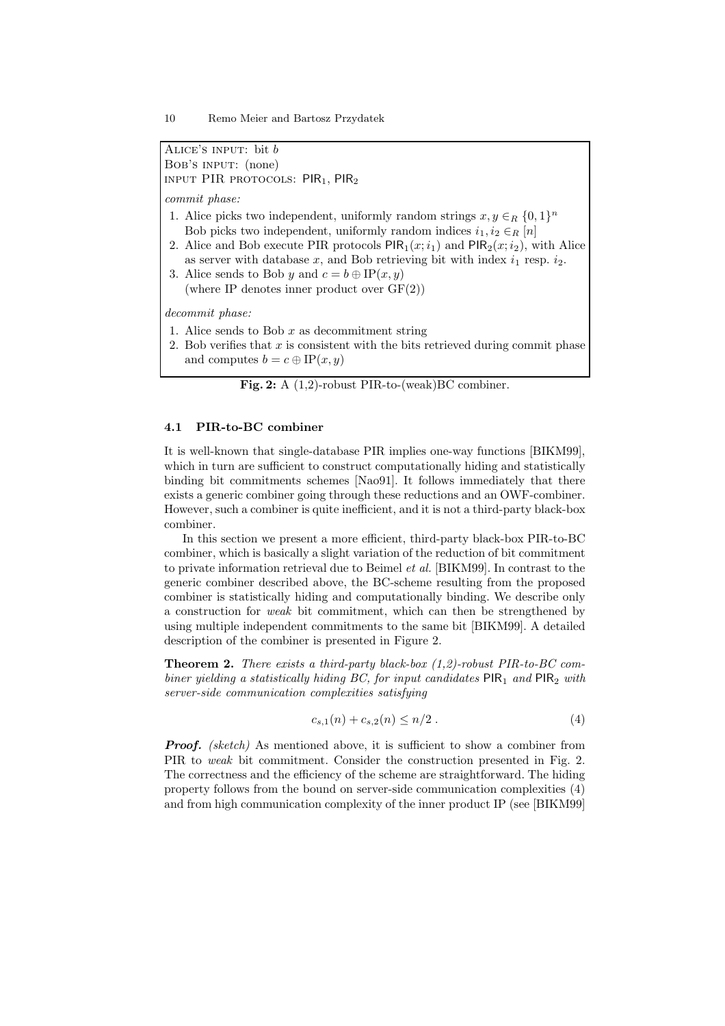Alice's input: bit b Bob's input: (none) INPUT PIR PROTOCOLS:  $PIR_1$ ,  $PIR_2$ 

commit phase:

- 1. Alice picks two independent, uniformly random strings  $x, y \in_R \{0, 1\}^n$ Bob picks two independent, uniformly random indices  $i_1, i_2 \in_R [n]$
- 2. Alice and Bob execute PIR protocols  $\text{PIR}_1(x; i_1)$  and  $\text{PIR}_2(x; i_2)$ , with Alice as server with database x, and Bob retrieving bit with index  $i_1$  resp.  $i_2$ .
- 3. Alice sends to Bob y and  $c = b \oplus IP(x, y)$ (where IP denotes inner product over  $GF(2)$ )

decommit phase:

- 1. Alice sends to Bob  $x$  as decommitment string
- 2. Bob verifies that x is consistent with the bits retrieved during commit phase and computes  $b = c \oplus \text{IP}(x, y)$

Fig. 2: A (1,2)-robust PIR-to-(weak)BC combiner.

#### 4.1 PIR-to-BC combiner

It is well-known that single-database PIR implies one-way functions [BIKM99], which in turn are sufficient to construct computationally hiding and statistically binding bit commitments schemes [Nao91]. It follows immediately that there exists a generic combiner going through these reductions and an OWF-combiner. However, such a combiner is quite inefficient, and it is not a third-party black-box combiner.

In this section we present a more efficient, third-party black-box PIR-to-BC combiner, which is basically a slight variation of the reduction of bit commitment to private information retrieval due to Beimel et al. [BIKM99]. In contrast to the generic combiner described above, the BC-scheme resulting from the proposed combiner is statistically hiding and computationally binding. We describe only a construction for weak bit commitment, which can then be strengthened by using multiple independent commitments to the same bit [BIKM99]. A detailed description of the combiner is presented in Figure 2.

**Theorem 2.** There exists a third-party black-box  $(1,2)$ -robust PIR-to-BC combiner yielding a statistically hiding BC, for input candidates  $PIR_1$  and  $PIR_2$  with server-side communication complexities satisfying

$$
c_{s,1}(n) + c_{s,2}(n) \le n/2.
$$
 (4)

**Proof.** (sketch) As mentioned above, it is sufficient to show a combiner from PIR to weak bit commitment. Consider the construction presented in Fig. 2. The correctness and the efficiency of the scheme are straightforward. The hiding property follows from the bound on server-side communication complexities (4) and from high communication complexity of the inner product IP (see [BIKM99]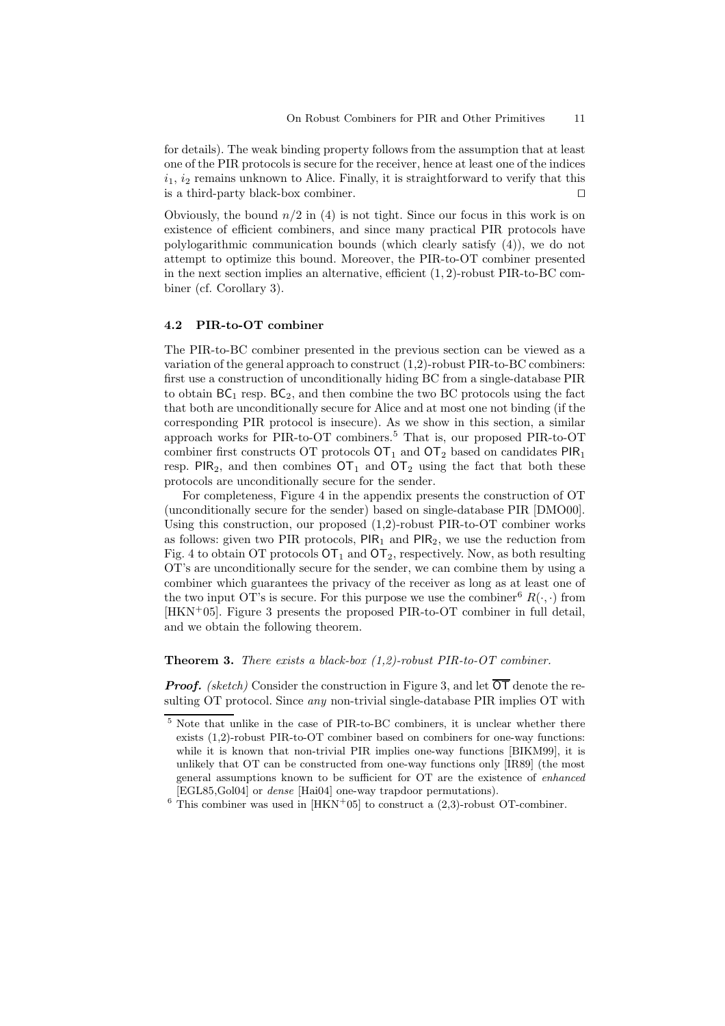for details). The weak binding property follows from the assumption that at least one of the PIR protocols is secure for the receiver, hence at least one of the indices  $i_1$ ,  $i_2$  remains unknown to Alice. Finally, it is straightforward to verify that this is a third-party black-box combiner.  $\Box$ 

Obviously, the bound  $n/2$  in (4) is not tight. Since our focus in this work is on existence of efficient combiners, and since many practical PIR protocols have polylogarithmic communication bounds (which clearly satisfy (4)), we do not attempt to optimize this bound. Moreover, the PIR-to-OT combiner presented in the next section implies an alternative, efficient (1, 2)-robust PIR-to-BC combiner (cf. Corollary 3).

#### 4.2 PIR-to-OT combiner

The PIR-to-BC combiner presented in the previous section can be viewed as a variation of the general approach to construct (1,2)-robust PIR-to-BC combiners: first use a construction of unconditionally hiding BC from a single-database PIR to obtain  $BC_1$  resp.  $BC_2$ , and then combine the two BC protocols using the fact that both are unconditionally secure for Alice and at most one not binding (if the corresponding PIR protocol is insecure). As we show in this section, a similar approach works for PIR-to-OT combiners.<sup>5</sup> That is, our proposed PIR-to-OT combiner first constructs OT protocols  $\textsf{OT}_1$  and  $\textsf{OT}_2$  based on candidates  $\textsf{PIR}_1$ resp. PIR<sub>2</sub>, and then combines  $OT_1$  and  $OT_2$  using the fact that both these protocols are unconditionally secure for the sender.

For completeness, Figure 4 in the appendix presents the construction of OT (unconditionally secure for the sender) based on single-database PIR [DMO00]. Using this construction, our proposed  $(1,2)$ -robust PIR-to-OT combiner works as follows: given two PIR protocols,  $PIR<sub>1</sub>$  and  $PIR<sub>2</sub>$ , we use the reduction from Fig. 4 to obtain OT protocols  $\text{OT}_1$  and  $\text{OT}_2$ , respectively. Now, as both resulting OT's are unconditionally secure for the sender, we can combine them by using a combiner which guarantees the privacy of the receiver as long as at least one of the two input OT's is secure. For this purpose we use the combiner<sup>6</sup>  $R(\cdot, \cdot)$  from  $[HKN^+05]$ . Figure 3 presents the proposed PIR-to-OT combiner in full detail. and we obtain the following theorem.

### **Theorem 3.** There exists a black-box  $(1,2)$ -robust PIR-to-OT combiner.

**Proof.** (sketch) Consider the construction in Figure 3, and let  $\overline{OT}$  denote the resulting OT protocol. Since *any* non-trivial single-database PIR implies OT with

 $^5$  Note that unlike in the case of PIR-to-BC combiners, it is unclear whether there exists (1,2)-robust PIR-to-OT combiner based on combiners for one-way functions: while it is known that non-trivial PIR implies one-way functions [BIKM99], it is unlikely that OT can be constructed from one-way functions only [IR89] (the most general assumptions known to be sufficient for OT are the existence of enhanced [EGL85,Gol04] or dense [Hai04] one-way trapdoor permutations).

 $6$  This combiner was used in [HKN+05] to construct a (2,3)-robust OT-combiner.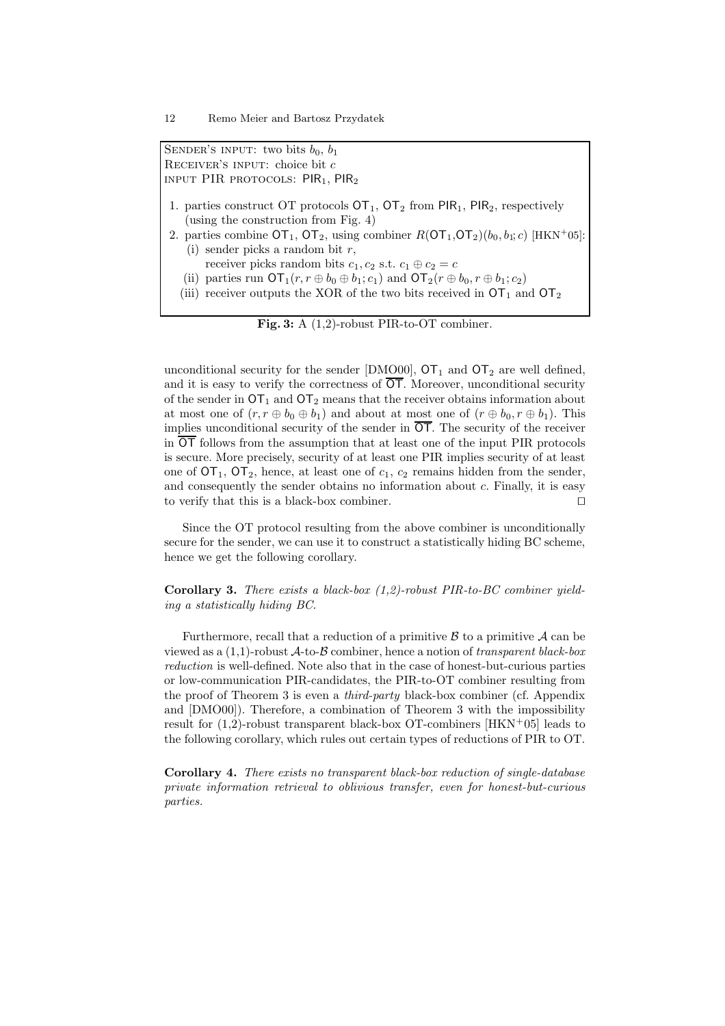SENDER'S INPUT: two bits  $b_0$ ,  $b_1$ RECEIVER'S INPUT: choice bit  $c$ INPUT PIR PROTOCOLS:  $PIR_1$ ,  $PIR_2$ 

- 1. parties construct OT protocols  $\text{OT}_1$ ,  $\text{OT}_2$  from PIR<sub>1</sub>, PIR<sub>2</sub>, respectively (using the construction from Fig. 4)
- 2. parties combine  $\overline{OT}_1$ ,  $\overline{OT}_2$ , using combiner  $R(\overline{OT}_1, \overline{OT}_2)(b_0, b_1; c)$  [HKN<sup>+</sup>05]: (i) sender picks a random bit  $r$ .
	- receiver picks random bits  $c_1, c_2$  s.t.  $c_1 \oplus c_2 = c$
	- (ii) parties run  $\mathsf{OT}_1(r, r \oplus b_0 \oplus b_1; c_1)$  and  $\mathsf{OT}_2(r \oplus b_0, r \oplus b_1; c_2)$
	- (iii) receiver outputs the XOR of the two bits received in  $\text{OT}_1$  and  $\text{OT}_2$

Fig. 3: A (1,2)-robust PIR-to-OT combiner.

unconditional security for the sender [DMO00],  $\text{OT}_1$  and  $\text{OT}_2$  are well defined, and it is easy to verify the correctness of  $\overline{OT}$ . Moreover, unconditional security of the sender in  $\text{OT}_1$  and  $\text{OT}_2$  means that the receiver obtains information about at most one of  $(r, r \oplus b_0 \oplus b_1)$  and about at most one of  $(r \oplus b_0, r \oplus b_1)$ . This implies unconditional security of the sender in  $\overline{OT}$ . The security of the receiver in  $\overline{OT}$  follows from the assumption that at least one of the input PIR protocols is secure. More precisely, security of at least one PIR implies security of at least one of  $\text{OT}_1$ ,  $\text{OT}_2$ , hence, at least one of  $c_1$ ,  $c_2$  remains hidden from the sender, and consequently the sender obtains no information about c. Finally, it is easy to verify that this is a black-box combiner.  $\Box$ 

Since the OT protocol resulting from the above combiner is unconditionally secure for the sender, we can use it to construct a statistically hiding BC scheme, hence we get the following corollary.

**Corollary 3.** There exists a black-box  $(1,2)$ -robust PIR-to-BC combiner yielding a statistically hiding BC.

Furthermore, recall that a reduction of a primitive  $\beta$  to a primitive  $\mathcal A$  can be viewed as a  $(1,1)$ -robust  $\mathcal{A}$ -to- $\mathcal B$  combiner, hence a notion of transparent black-box reduction is well-defined. Note also that in the case of honest-but-curious parties or low-communication PIR-candidates, the PIR-to-OT combiner resulting from the proof of Theorem 3 is even a third-party black-box combiner (cf. Appendix and [DMO00]). Therefore, a combination of Theorem 3 with the impossibility result for  $(1,2)$ -robust transparent black-box OT-combiners [HKN+05] leads to the following corollary, which rules out certain types of reductions of PIR to OT.

Corollary 4. There exists no transparent black-box reduction of single-database private information retrieval to oblivious transfer, even for honest-but-curious parties.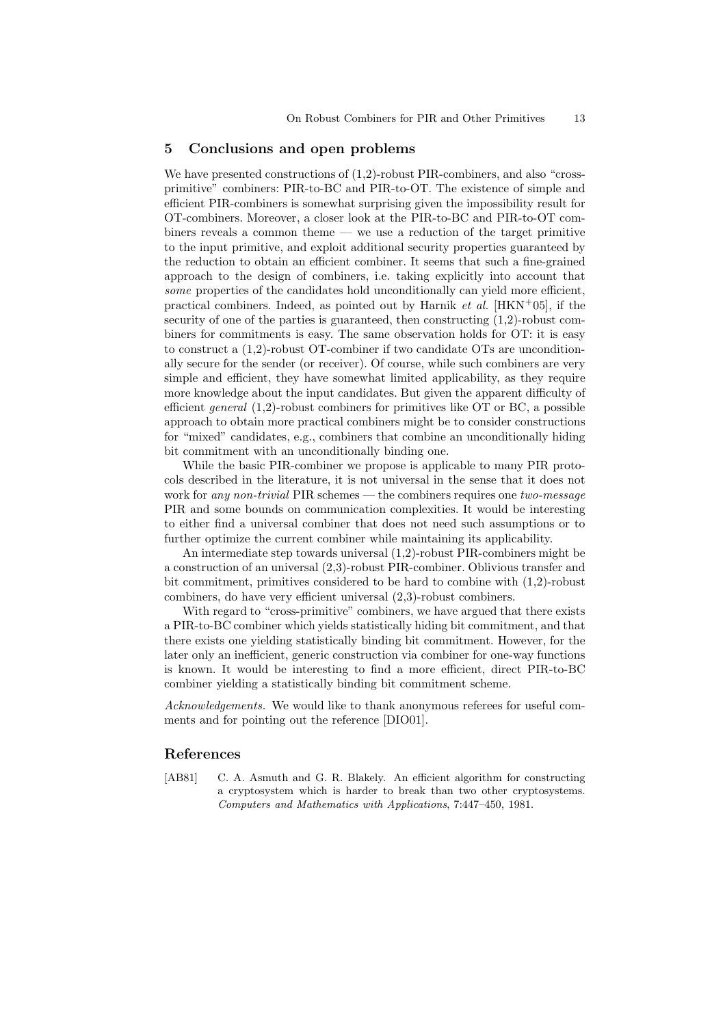#### 5 Conclusions and open problems

We have presented constructions of  $(1,2)$ -robust PIR-combiners, and also "crossprimitive" combiners: PIR-to-BC and PIR-to-OT. The existence of simple and efficient PIR-combiners is somewhat surprising given the impossibility result for OT-combiners. Moreover, a closer look at the PIR-to-BC and PIR-to-OT combiners reveals a common theme — we use a reduction of the target primitive to the input primitive, and exploit additional security properties guaranteed by the reduction to obtain an efficient combiner. It seems that such a fine-grained approach to the design of combiners, i.e. taking explicitly into account that some properties of the candidates hold unconditionally can yield more efficient, practical combiners. Indeed, as pointed out by Harnik et al. [HKN+05], if the security of one of the parties is guaranteed, then constructing (1,2)-robust combiners for commitments is easy. The same observation holds for OT: it is easy to construct a (1,2)-robust OT-combiner if two candidate OTs are unconditionally secure for the sender (or receiver). Of course, while such combiners are very simple and efficient, they have somewhat limited applicability, as they require more knowledge about the input candidates. But given the apparent difficulty of efficient *general*  $(1,2)$ -robust combiners for primitives like OT or BC, a possible approach to obtain more practical combiners might be to consider constructions for "mixed" candidates, e.g., combiners that combine an unconditionally hiding bit commitment with an unconditionally binding one.

While the basic PIR-combiner we propose is applicable to many PIR protocols described in the literature, it is not universal in the sense that it does not work for any non-trivial PIR schemes — the combiners requires one two-message PIR and some bounds on communication complexities. It would be interesting to either find a universal combiner that does not need such assumptions or to further optimize the current combiner while maintaining its applicability.

An intermediate step towards universal (1,2)-robust PIR-combiners might be a construction of an universal (2,3)-robust PIR-combiner. Oblivious transfer and bit commitment, primitives considered to be hard to combine with (1,2)-robust combiners, do have very efficient universal (2,3)-robust combiners.

With regard to "cross-primitive" combiners, we have argued that there exists a PIR-to-BC combiner which yields statistically hiding bit commitment, and that there exists one yielding statistically binding bit commitment. However, for the later only an inefficient, generic construction via combiner for one-way functions is known. It would be interesting to find a more efficient, direct PIR-to-BC combiner yielding a statistically binding bit commitment scheme.

Acknowledgements. We would like to thank anonymous referees for useful comments and for pointing out the reference [DIO01].

# References

[AB81] C. A. Asmuth and G. R. Blakely. An efficient algorithm for constructing a cryptosystem which is harder to break than two other cryptosystems. Computers and Mathematics with Applications, 7:447–450, 1981.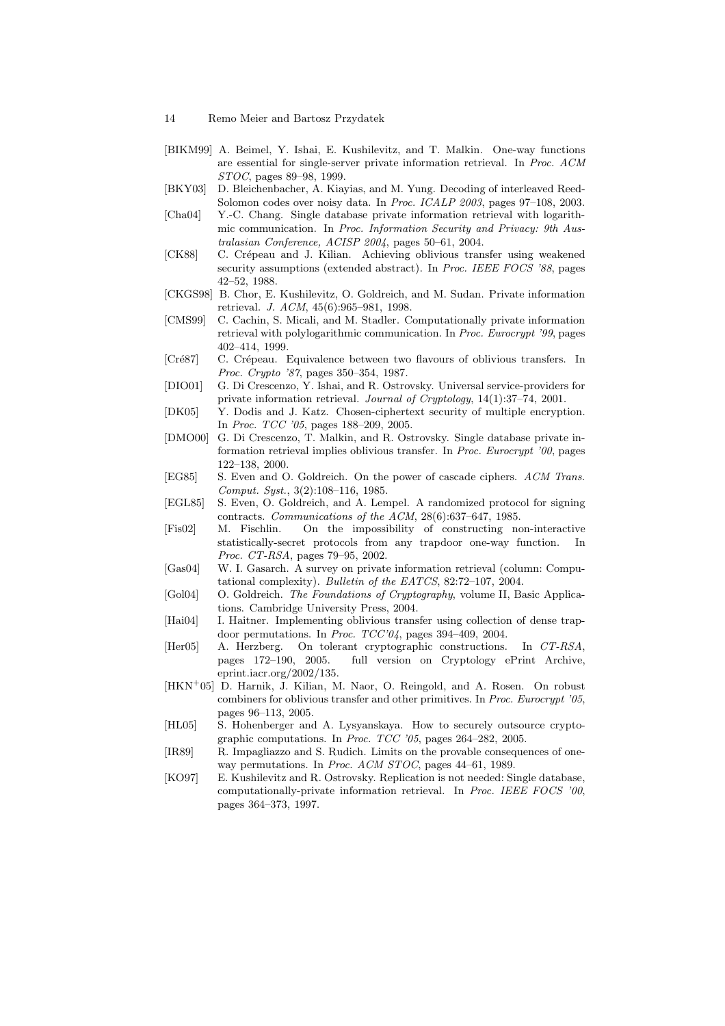- [BIKM99] A. Beimel, Y. Ishai, E. Kushilevitz, and T. Malkin. One-way functions are essential for single-server private information retrieval. In Proc. ACM STOC, pages 89–98, 1999.
- [BKY03] D. Bleichenbacher, A. Kiayias, and M. Yung. Decoding of interleaved Reed-Solomon codes over noisy data. In Proc. ICALP 2003, pages 97–108, 2003.
- [Cha04] Y.-C. Chang. Single database private information retrieval with logarithmic communication. In Proc. Information Security and Privacy: 9th Australasian Conference, ACISP 2004, pages 50–61, 2004.
- [CK88] C. Crépeau and J. Kilian. Achieving oblivious transfer using weakened security assumptions (extended abstract). In *Proc. IEEE FOCS '88*, pages 42–52, 1988.
- [CKGS98] B. Chor, E. Kushilevitz, O. Goldreich, and M. Sudan. Private information retrieval. J. ACM, 45(6):965–981, 1998.
- [CMS99] C. Cachin, S. Micali, and M. Stadler. Computationally private information retrieval with polylogarithmic communication. In Proc. Eurocrypt '99, pages 402–414, 1999.
- [Cré87] C. Crépeau. Equivalence between two flavours of oblivious transfers. In Proc. Crypto '87, pages 350–354, 1987.
- [DIO01] G. Di Crescenzo, Y. Ishai, and R. Ostrovsky. Universal service-providers for private information retrieval. Journal of Cryptology, 14(1):37–74, 2001.
- [DK05] Y. Dodis and J. Katz. Chosen-ciphertext security of multiple encryption. In Proc. TCC '05, pages 188–209, 2005.
- [DMO00] G. Di Crescenzo, T. Malkin, and R. Ostrovsky. Single database private information retrieval implies oblivious transfer. In Proc. Eurocrypt '00, pages 122–138, 2000.
- [EG85] S. Even and O. Goldreich. On the power of cascade ciphers. ACM Trans. Comput. Syst., 3(2):108–116, 1985.
- [EGL85] S. Even, O. Goldreich, and A. Lempel. A randomized protocol for signing contracts. Communications of the ACM, 28(6):637–647, 1985.
- [Fis02] M. Fischlin. On the impossibility of constructing non-interactive statistically-secret protocols from any trapdoor one-way function. In Proc. CT-RSA, pages 79–95, 2002.
- [Gas04] W. I. Gasarch. A survey on private information retrieval (column: Computational complexity). Bulletin of the EATCS, 82:72–107, 2004.
- [Gol04] O. Goldreich. The Foundations of Cryptography, volume II, Basic Applications. Cambridge University Press, 2004.
- [Hai04] I. Haitner. Implementing oblivious transfer using collection of dense trapdoor permutations. In Proc. TCC'04, pages 394–409, 2004.
- [Her05] A. Herzberg. On tolerant cryptographic constructions. In CT-RSA, pages 172–190, 2005. full version on Cryptology ePrint Archive, eprint.iacr.org/2002/135.
- [HKN<sup>+</sup>05] D. Harnik, J. Kilian, M. Naor, O. Reingold, and A. Rosen. On robust combiners for oblivious transfer and other primitives. In Proc. Eurocrypt '05, pages 96–113, 2005.
- [HL05] S. Hohenberger and A. Lysyanskaya. How to securely outsource cryptographic computations. In Proc. TCC '05, pages 264–282, 2005.
- [IR89] R. Impagliazzo and S. Rudich. Limits on the provable consequences of oneway permutations. In Proc. ACM STOC, pages 44–61, 1989.
- [KO97] E. Kushilevitz and R. Ostrovsky. Replication is not needed: Single database, computationally-private information retrieval. In Proc. IEEE FOCS '00, pages 364–373, 1997.